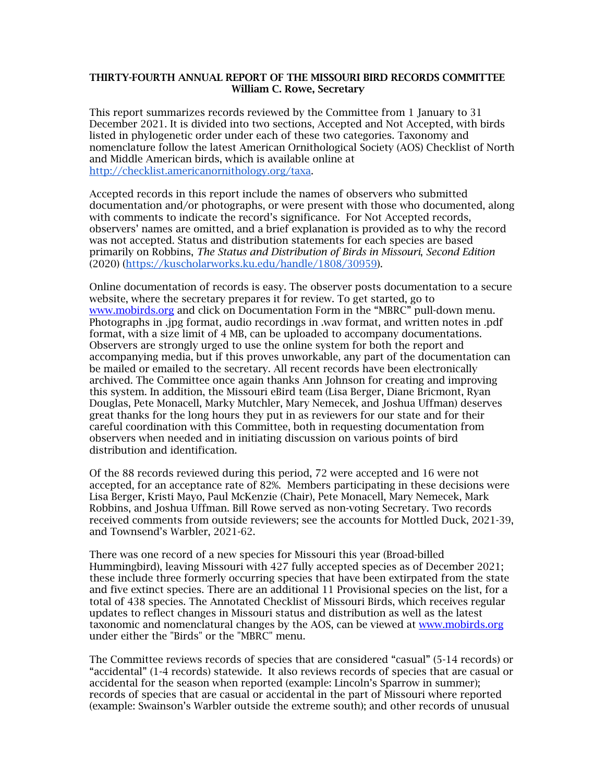## THIRTY-FOURTH ANNUAL REPORT OF THE MISSOURI BIRD RECORDS COMMITTEE William C. Rowe, Secretary

This report summarizes records reviewed by the Committee from 1 January to 31 December 2021. It is divided into two sections, Accepted and Not Accepted, with birds listed in phylogenetic order under each of these two categories. Taxonomy and nomenclature follow the latest American Ornithological Society (AOS) Checklist of North and Middle American birds, which is available online at http://checklist.americanornithology.org/taxa.

Accepted records in this report include the names of observers who submitted documentation and/or photographs, or were present with those who documented, along with comments to indicate the record's significance. For Not Accepted records, observers' names are omitted, and a brief explanation is provided as to why the record was not accepted. Status and distribution statements for each species are based primarily on Robbins, *The Status and Distribution of Birds in Missouri*, *Second Edition* (2020) (https://kuscholarworks.ku.edu/handle/1808/30959).

Online documentation of records is easy. The observer posts documentation to a secure website, where the secretary prepares it for review. To get started, go to www.mobirds.org and click on Documentation Form in the "MBRC" pull-down menu. Photographs in .jpg format, audio recordings in .wav format, and written notes in .pdf format, with a size limit of 4 MB, can be uploaded to accompany documentations. Observers are strongly urged to use the online system for both the report and accompanying media, but if this proves unworkable, any part of the documentation can be mailed or emailed to the secretary. All recent records have been electronically archived. The Committee once again thanks Ann Johnson for creating and improving this system. In addition, the Missouri eBird team (Lisa Berger, Diane Bricmont, Ryan Douglas, Pete Monacell, Marky Mutchler, Mary Nemecek, and Joshua Uffman) deserves great thanks for the long hours they put in as reviewers for our state and for their careful coordination with this Committee, both in requesting documentation from observers when needed and in initiating discussion on various points of bird distribution and identification.

Of the 88 records reviewed during this period, 72 were accepted and 16 were not accepted, for an acceptance rate of 82%. Members participating in these decisions were Lisa Berger, Kristi Mayo, Paul McKenzie (Chair), Pete Monacell, Mary Nemecek, Mark Robbins, and Joshua Uffman. Bill Rowe served as non-voting Secretary. Two records received comments from outside reviewers; see the accounts for Mottled Duck, 2021-39, and Townsend's Warbler, 2021-62.

There was one record of a new species for Missouri this year (Broad-billed Hummingbird), leaving Missouri with 427 fully accepted species as of December 2021; these include three formerly occurring species that have been extirpated from the state and five extinct species. There are an additional 11 Provisional species on the list, for a total of 438 species. The Annotated Checklist of Missouri Birds, which receives regular updates to reflect changes in Missouri status and distribution as well as the latest taxonomic and nomenclatural changes by the AOS, can be viewed at www.mobirds.org under either the "Birds" or the "MBRC" menu.

The Committee reviews records of species that are considered "casual" (5-14 records) or "accidental" (1-4 records) statewide. It also reviews records of species that are casual or accidental for the season when reported (example: Lincoln's Sparrow in summer); records of species that are casual or accidental in the part of Missouri where reported (example: Swainson's Warbler outside the extreme south); and other records of unusual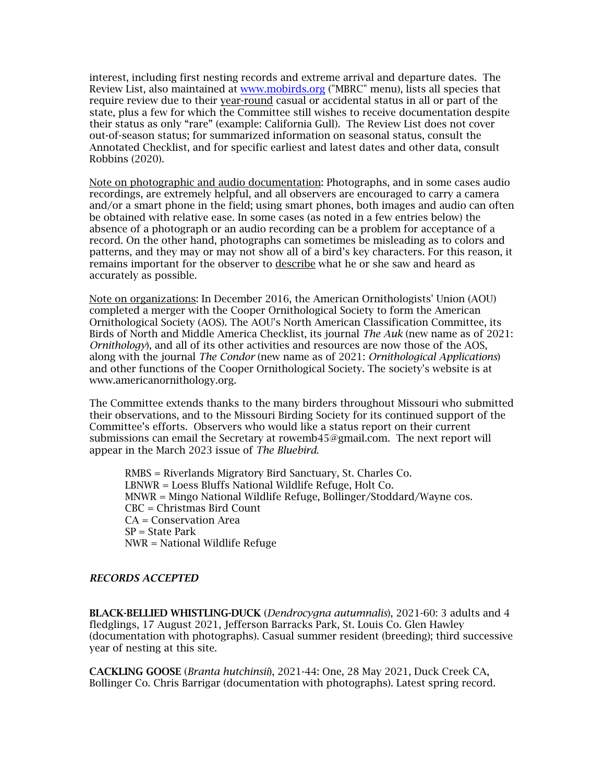interest, including first nesting records and extreme arrival and departure dates. The Review List, also maintained at www.mobirds.org ("MBRC" menu), lists all species that require review due to their year-round casual or accidental status in all or part of the state, plus a few for which the Committee still wishes to receive documentation despite their status as only "rare" (example: California Gull). The Review List does not cover out-of-season status; for summarized information on seasonal status, consult the Annotated Checklist, and for specific earliest and latest dates and other data, consult Robbins (2020).

Note on photographic and audio documentation: Photographs, and in some cases audio recordings, are extremely helpful, and all observers are encouraged to carry a camera and/or a smart phone in the field; using smart phones, both images and audio can often be obtained with relative ease. In some cases (as noted in a few entries below) the absence of a photograph or an audio recording can be a problem for acceptance of a record. On the other hand, photographs can sometimes be misleading as to colors and patterns, and they may or may not show all of a bird's key characters. For this reason, it remains important for the observer to describe what he or she saw and heard as accurately as possible.

Note on organizations: In December 2016, the American Ornithologists' Union (AOU) completed a merger with the Cooper Ornithological Society to form the American Ornithological Society (AOS). The AOU's North American Classification Committee, its Birds of North and Middle America Checklist, its journal *The Auk* (new name as of 2021: *Ornithology*), and all of its other activities and resources are now those of the AOS, along with the journal *The Condor* (new name as of 2021: *Ornithological Applications*) and other functions of the Cooper Ornithological Society. The society's website is at www.americanornithology.org.

The Committee extends thanks to the many birders throughout Missouri who submitted their observations, and to the Missouri Birding Society for its continued support of the Committee's efforts. Observers who would like a status report on their current submissions can email the Secretary at rowemb45@gmail.com. The next report will appear in the March 2023 issue of *The Bluebird*.

RMBS = Riverlands Migratory Bird Sanctuary, St. Charles Co. LBNWR = Loess Bluffs National Wildlife Refuge, Holt Co. MNWR = Mingo National Wildlife Refuge, Bollinger/Stoddard/Wayne cos. CBC = Christmas Bird Count CA = Conservation Area  $SP = State Park$ NWR = National Wildlife Refuge

## *RECORDS ACCEPTED*

BLACK-BELLIED WHISTLING-DUCK (*Dendrocygna autumnalis*), 2021-60: 3 adults and 4 fledglings, 17 August 2021, Jefferson Barracks Park, St. Louis Co. Glen Hawley (documentation with photographs). Casual summer resident (breeding); third successive year of nesting at this site.

CACKLING GOOSE (*Branta hutchinsii*), 2021-44: One, 28 May 2021, Duck Creek CA, Bollinger Co. Chris Barrigar (documentation with photographs). Latest spring record.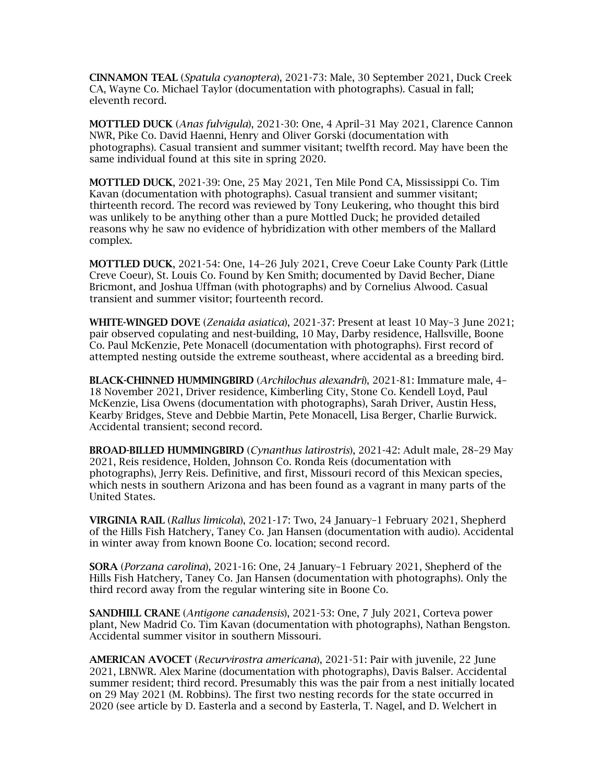CINNAMON TEAL (*Spatula cyanoptera*), 2021-73: Male, 30 September 2021, Duck Creek CA, Wayne Co. Michael Taylor (documentation with photographs). Casual in fall; eleventh record.

MOTTLED DUCK (*Anas fulvigula*), 2021-30: One, 4 April–31 May 2021, Clarence Cannon NWR, Pike Co. David Haenni, Henry and Oliver Gorski (documentation with photographs). Casual transient and summer visitant; twelfth record. May have been the same individual found at this site in spring 2020.

MOTTLED DUCK, 2021-39: One, 25 May 2021, Ten Mile Pond CA, Mississippi Co. Tim Kavan (documentation with photographs). Casual transient and summer visitant; thirteenth record. The record was reviewed by Tony Leukering, who thought this bird was unlikely to be anything other than a pure Mottled Duck; he provided detailed reasons why he saw no evidence of hybridization with other members of the Mallard complex.

MOTTLED DUCK, 2021-54: One, 14–26 July 2021, Creve Coeur Lake County Park (Little Creve Coeur), St. Louis Co. Found by Ken Smith; documented by David Becher, Diane Bricmont, and Joshua Uffman (with photographs) and by Cornelius Alwood. Casual transient and summer visitor; fourteenth record.

WHITE-WINGED DOVE (*Zenaida asiatica*), 2021-37: Present at least 10 May–3 June 2021; pair observed copulating and nest-building, 10 May, Darby residence, Hallsville, Boone Co. Paul McKenzie, Pete Monacell (documentation with photographs). First record of attempted nesting outside the extreme southeast, where accidental as a breeding bird.

BLACK-CHINNED HUMMINGBIRD (*Archilochus alexandri*), 2021-81: Immature male, 4– 18 November 2021, Driver residence, Kimberling City, Stone Co. Kendell Loyd, Paul McKenzie, Lisa Owens (documentation with photographs), Sarah Driver, Austin Hess, Kearby Bridges, Steve and Debbie Martin, Pete Monacell, Lisa Berger, Charlie Burwick. Accidental transient; second record.

BROAD-BILLED HUMMINGBIRD (*Cynanthus latirostris*), 2021-42: Adult male, 28–29 May 2021, Reis residence, Holden, Johnson Co. Ronda Reis (documentation with photographs), Jerry Reis. Definitive, and first, Missouri record of this Mexican species, which nests in southern Arizona and has been found as a vagrant in many parts of the United States.

VIRGINIA RAIL (*Rallus limicola*), 2021-17: Two, 24 January–1 February 2021, Shepherd of the Hills Fish Hatchery, Taney Co. Jan Hansen (documentation with audio). Accidental in winter away from known Boone Co. location; second record.

SORA (*Porzana carolina*), 2021-16: One, 24 January–1 February 2021, Shepherd of the Hills Fish Hatchery, Taney Co. Jan Hansen (documentation with photographs). Only the third record away from the regular wintering site in Boone Co.

SANDHILL CRANE (*Antigone canadensis*), 2021-53: One, 7 July 2021, Corteva power plant, New Madrid Co. Tim Kavan (documentation with photographs), Nathan Bengston. Accidental summer visitor in southern Missouri.

AMERICAN AVOCET (*Recurvirostra americana*), 2021-51: Pair with juvenile, 22 June 2021, LBNWR. Alex Marine (documentation with photographs), Davis Balser. Accidental summer resident; third record. Presumably this was the pair from a nest initially located on 29 May 2021 (M. Robbins). The first two nesting records for the state occurred in 2020 (see article by D. Easterla and a second by Easterla, T. Nagel, and D. Welchert in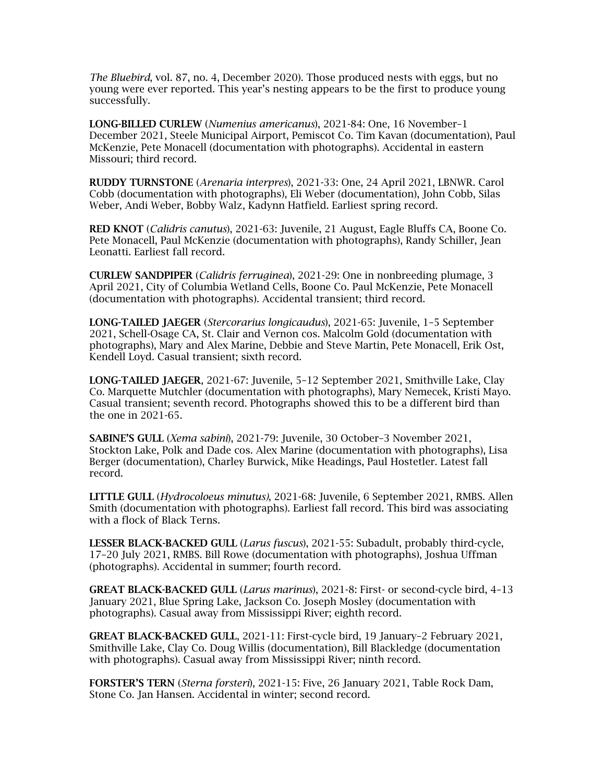*The Bluebird*, vol. 87, no. 4, December 2020). Those produced nests with eggs, but no young were ever reported. This year's nesting appears to be the first to produce young successfully.

LONG-BILLED CURLEW (*Numenius americanus*), 2021-84: One, 16 November–1 December 2021, Steele Municipal Airport, Pemiscot Co. Tim Kavan (documentation), Paul McKenzie, Pete Monacell (documentation with photographs). Accidental in eastern Missouri; third record.

RUDDY TURNSTONE (*Arenaria interpres*), 2021-33: One, 24 April 2021, LBNWR. Carol Cobb (documentation with photographs), Eli Weber (documentation), John Cobb, Silas Weber, Andi Weber, Bobby Walz, Kadynn Hatfield. Earliest spring record.

RED KNOT (*Calidris canutus*), 2021-63: Juvenile, 21 August, Eagle Bluffs CA, Boone Co. Pete Monacell, Paul McKenzie (documentation with photographs), Randy Schiller, Jean Leonatti. Earliest fall record.

CURLEW SANDPIPER (*Calidris ferruginea*), 2021-29: One in nonbreeding plumage, 3 April 2021, City of Columbia Wetland Cells, Boone Co. Paul McKenzie, Pete Monacell (documentation with photographs). Accidental transient; third record.

LONG-TAILED JAEGER (*Stercorarius longicaudus*), 2021-65: Juvenile, 1–5 September 2021, Schell-Osage CA, St. Clair and Vernon cos. Malcolm Gold (documentation with photographs), Mary and Alex Marine, Debbie and Steve Martin, Pete Monacell, Erik Ost, Kendell Loyd. Casual transient; sixth record.

LONG-TAILED JAEGER, 2021-67: Juvenile, 5–12 September 2021, Smithville Lake, Clay Co. Marquette Mutchler (documentation with photographs), Mary Nemecek, Kristi Mayo. Casual transient; seventh record. Photographs showed this to be a different bird than the one in 2021-65.

SABINE'S GULL (*Xema sabini*), 2021-79: Juvenile, 30 October–3 November 2021, Stockton Lake, Polk and Dade cos. Alex Marine (documentation with photographs), Lisa Berger (documentation), Charley Burwick, Mike Headings, Paul Hostetler. Latest fall record.

LITTLE GULL (*Hydrocoloeus minutus)*, 2021-68: Juvenile, 6 September 2021, RMBS. Allen Smith (documentation with photographs). Earliest fall record. This bird was associating with a flock of Black Terns.

LESSER BLACK-BACKED GULL (*Larus fuscus*), 2021-55: Subadult, probably third-cycle, 17–20 July 2021, RMBS. Bill Rowe (documentation with photographs), Joshua Uffman (photographs). Accidental in summer; fourth record.

GREAT BLACK-BACKED GULL (*Larus marinus*), 2021-8: First- or second-cycle bird, 4–13 January 2021, Blue Spring Lake, Jackson Co. Joseph Mosley (documentation with photographs). Casual away from Mississippi River; eighth record.

GREAT BLACK-BACKED GULL, 2021-11: First-cycle bird, 19 January–2 February 2021, Smithville Lake, Clay Co. Doug Willis (documentation), Bill Blackledge (documentation with photographs). Casual away from Mississippi River; ninth record.

FORSTER'S TERN (*Sterna forsteri*), 2021-15: Five, 26 January 2021, Table Rock Dam, Stone Co. Jan Hansen. Accidental in winter; second record.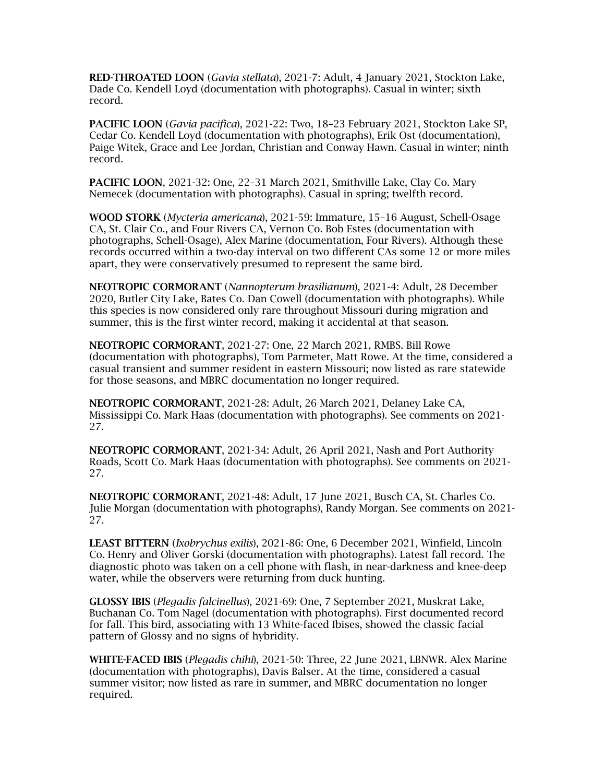RED-THROATED LOON (*Gavia stellata*), 2021-7: Adult, 4 January 2021, Stockton Lake, Dade Co. Kendell Loyd (documentation with photographs). Casual in winter; sixth record.

PACIFIC LOON (*Gavia pacifica*), 2021-22: Two, 18–23 February 2021, Stockton Lake SP, Cedar Co. Kendell Loyd (documentation with photographs), Erik Ost (documentation), Paige Witek, Grace and Lee Jordan, Christian and Conway Hawn. Casual in winter; ninth record.

PACIFIC LOON, 2021-32: One, 22–31 March 2021, Smithville Lake, Clay Co. Mary Nemecek (documentation with photographs). Casual in spring; twelfth record.

WOOD STORK (*Mycteria americana*), 2021-59: Immature, 15–16 August, Schell-Osage CA, St. Clair Co., and Four Rivers CA, Vernon Co. Bob Estes (documentation with photographs, Schell-Osage), Alex Marine (documentation, Four Rivers). Although these records occurred within a two-day interval on two different CAs some 12 or more miles apart, they were conservatively presumed to represent the same bird.

NEOTROPIC CORMORANT (*Nannopterum brasilianum*), 2021-4: Adult, 28 December 2020, Butler City Lake, Bates Co. Dan Cowell (documentation with photographs). While this species is now considered only rare throughout Missouri during migration and summer, this is the first winter record, making it accidental at that season.

NEOTROPIC CORMORANT, 2021-27: One, 22 March 2021, RMBS. Bill Rowe (documentation with photographs), Tom Parmeter, Matt Rowe. At the time, considered a casual transient and summer resident in eastern Missouri; now listed as rare statewide for those seasons, and MBRC documentation no longer required.

NEOTROPIC CORMORANT, 2021-28: Adult, 26 March 2021, Delaney Lake CA, Mississippi Co. Mark Haas (documentation with photographs). See comments on 2021- 27.

NEOTROPIC CORMORANT, 2021-34: Adult, 26 April 2021, Nash and Port Authority Roads, Scott Co. Mark Haas (documentation with photographs). See comments on 2021- 27.

NEOTROPIC CORMORANT, 2021-48: Adult, 17 June 2021, Busch CA, St. Charles Co. Julie Morgan (documentation with photographs), Randy Morgan. See comments on 2021- 27.

LEAST BITTERN (*Ixobrychus exilis*), 2021-86: One, 6 December 2021, Winfield, Lincoln Co. Henry and Oliver Gorski (documentation with photographs). Latest fall record. The diagnostic photo was taken on a cell phone with flash, in near-darkness and knee-deep water, while the observers were returning from duck hunting.

GLOSSY IBIS (*Plegadis falcinellus*), 2021-69: One, 7 September 2021, Muskrat Lake, Buchanan Co. Tom Nagel (documentation with photographs). First documented record for fall. This bird, associating with 13 White-faced Ibises, showed the classic facial pattern of Glossy and no signs of hybridity.

WHITE-FACED IBIS (*Plegadis chihi*), 2021-50: Three, 22 June 2021, LBNWR. Alex Marine (documentation with photographs), Davis Balser. At the time, considered a casual summer visitor; now listed as rare in summer, and MBRC documentation no longer required.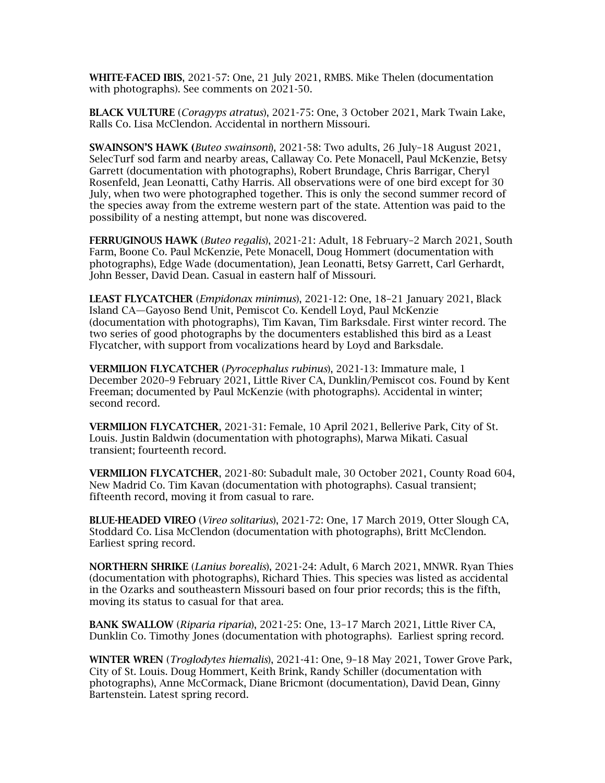WHITE-FACED IBIS, 2021-57: One, 21 July 2021, RMBS. Mike Thelen (documentation with photographs). See comments on 2021-50.

BLACK VULTURE (*Coragyps atratus*), 2021-75: One, 3 October 2021, Mark Twain Lake, Ralls Co. Lisa McClendon. Accidental in northern Missouri.

SWAINSON'S HAWK (*Buteo swainsoni*), 2021-58: Two adults, 26 July–18 August 2021, SelecTurf sod farm and nearby areas, Callaway Co. Pete Monacell, Paul McKenzie, Betsy Garrett (documentation with photographs), Robert Brundage, Chris Barrigar, Cheryl Rosenfeld, Jean Leonatti, Cathy Harris. All observations were of one bird except for 30 July, when two were photographed together. This is only the second summer record of the species away from the extreme western part of the state. Attention was paid to the possibility of a nesting attempt, but none was discovered.

FERRUGINOUS HAWK (*Buteo regalis*), 2021-21: Adult, 18 February–2 March 2021, South Farm, Boone Co. Paul McKenzie, Pete Monacell, Doug Hommert (documentation with photographs), Edge Wade (documentation), Jean Leonatti, Betsy Garrett, Carl Gerhardt, John Besser, David Dean. Casual in eastern half of Missouri.

LEAST FLYCATCHER (*Empidonax minimus*), 2021-12: One, 18–21 January 2021, Black Island CA—Gayoso Bend Unit, Pemiscot Co. Kendell Loyd, Paul McKenzie (documentation with photographs), Tim Kavan, Tim Barksdale. First winter record. The two series of good photographs by the documenters established this bird as a Least Flycatcher, with support from vocalizations heard by Loyd and Barksdale.

VERMILION FLYCATCHER (*Pyrocephalus rubinus*), 2021-13: Immature male, 1 December 2020–9 February 2021, Little River CA, Dunklin/Pemiscot cos. Found by Kent Freeman; documented by Paul McKenzie (with photographs). Accidental in winter; second record.

VERMILION FLYCATCHER, 2021-31: Female, 10 April 2021, Bellerive Park, City of St. Louis. Justin Baldwin (documentation with photographs), Marwa Mikati. Casual transient; fourteenth record.

VERMILION FLYCATCHER, 2021-80: Subadult male, 30 October 2021, County Road 604, New Madrid Co. Tim Kavan (documentation with photographs). Casual transient; fifteenth record, moving it from casual to rare.

BLUE-HEADED VIREO (*Vireo solitarius*), 2021-72: One, 17 March 2019, Otter Slough CA, Stoddard Co. Lisa McClendon (documentation with photographs), Britt McClendon. Earliest spring record.

NORTHERN SHRIKE (*Lanius borealis*), 2021-24: Adult, 6 March 2021, MNWR. Ryan Thies (documentation with photographs), Richard Thies. This species was listed as accidental in the Ozarks and southeastern Missouri based on four prior records; this is the fifth, moving its status to casual for that area.

BANK SWALLOW (*Riparia riparia*), 2021-25: One, 13–17 March 2021, Little River CA, Dunklin Co. Timothy Jones (documentation with photographs). Earliest spring record.

WINTER WREN (*Troglodytes hiemalis*), 2021-41: One, 9–18 May 2021, Tower Grove Park, City of St. Louis. Doug Hommert, Keith Brink, Randy Schiller (documentation with photographs), Anne McCormack, Diane Bricmont (documentation), David Dean, Ginny Bartenstein. Latest spring record.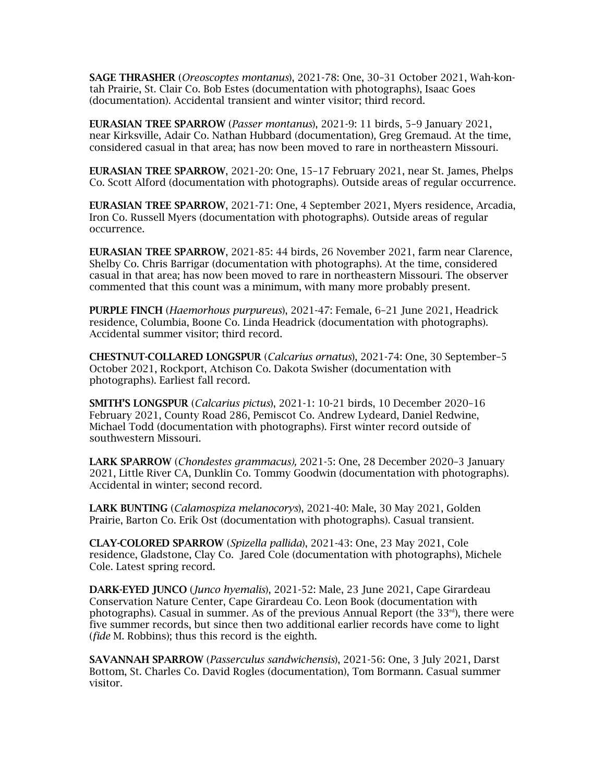SAGE THRASHER (*Oreoscoptes montanus*), 2021-78: One, 30–31 October 2021, Wah-kontah Prairie, St. Clair Co. Bob Estes (documentation with photographs), Isaac Goes (documentation). Accidental transient and winter visitor; third record.

EURASIAN TREE SPARROW (*Passer montanus*), 2021-9: 11 birds, 5–9 January 2021, near Kirksville, Adair Co. Nathan Hubbard (documentation), Greg Gremaud. At the time, considered casual in that area; has now been moved to rare in northeastern Missouri.

EURASIAN TREE SPARROW, 2021-20: One, 15–17 February 2021, near St. James, Phelps Co. Scott Alford (documentation with photographs). Outside areas of regular occurrence.

EURASIAN TREE SPARROW, 2021-71: One, 4 September 2021, Myers residence, Arcadia, Iron Co. Russell Myers (documentation with photographs). Outside areas of regular occurrence.

EURASIAN TREE SPARROW, 2021-85: 44 birds, 26 November 2021, farm near Clarence, Shelby Co. Chris Barrigar (documentation with photographs). At the time, considered casual in that area; has now been moved to rare in northeastern Missouri. The observer commented that this count was a minimum, with many more probably present.

PURPLE FINCH (*Haemorhous purpureus*), 2021-47: Female, 6–21 June 2021, Headrick residence, Columbia, Boone Co. Linda Headrick (documentation with photographs). Accidental summer visitor; third record.

CHESTNUT-COLLARED LONGSPUR (*Calcarius ornatus*), 2021-74: One, 30 September–5 October 2021, Rockport, Atchison Co. Dakota Swisher (documentation with photographs). Earliest fall record.

SMITH'S LONGSPUR (*Calcarius pictus*), 2021-1: 10-21 birds, 10 December 2020–16 February 2021, County Road 286, Pemiscot Co. Andrew Lydeard, Daniel Redwine, Michael Todd (documentation with photographs). First winter record outside of southwestern Missouri.

LARK SPARROW (*Chondestes grammacus),* 2021-5: One, 28 December 2020–3 January 2021, Little River CA, Dunklin Co. Tommy Goodwin (documentation with photographs). Accidental in winter; second record.

LARK BUNTING (*Calamospiza melanocorys*), 2021-40: Male, 30 May 2021, Golden Prairie, Barton Co. Erik Ost (documentation with photographs). Casual transient.

CLAY-COLORED SPARROW (*Spizella pallida*), 2021-43: One, 23 May 2021, Cole residence, Gladstone, Clay Co. Jared Cole (documentation with photographs), Michele Cole. Latest spring record.

DARK-EYED JUNCO (*Junco hyemalis*), 2021-52: Male, 23 June 2021, Cape Girardeau Conservation Nature Center, Cape Girardeau Co. Leon Book (documentation with photographs). Casual in summer. As of the previous Annual Report (the  $33<sup>rd</sup>$ ), there were five summer records, but since then two additional earlier records have come to light (*fide* M. Robbins); thus this record is the eighth.

SAVANNAH SPARROW (*Passerculus sandwichensis*), 2021-56: One, 3 July 2021, Darst Bottom, St. Charles Co. David Rogles (documentation), Tom Bormann. Casual summer visitor.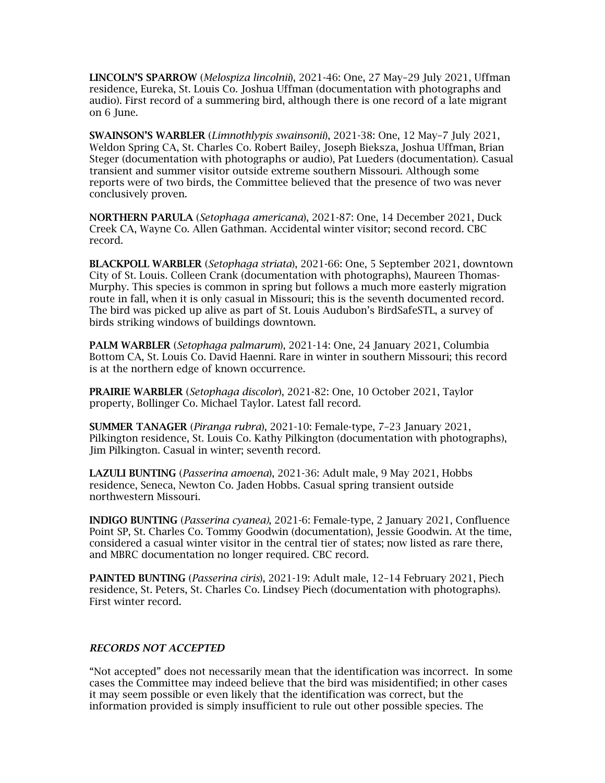LINCOLN'S SPARROW (*Melospiza lincolnii*), 2021-46: One, 27 May–29 July 2021, Uffman residence, Eureka, St. Louis Co. Joshua Uffman (documentation with photographs and audio). First record of a summering bird, although there is one record of a late migrant on 6 June.

SWAINSON'S WARBLER (*Limnothlypis swainsonii*), 2021-38: One, 12 May–7 July 2021, Weldon Spring CA, St. Charles Co. Robert Bailey, Joseph Bieksza, Joshua Uffman, Brian Steger (documentation with photographs or audio), Pat Lueders (documentation). Casual transient and summer visitor outside extreme southern Missouri. Although some reports were of two birds, the Committee believed that the presence of two was never conclusively proven.

NORTHERN PARULA (*Setophaga americana*), 2021-87: One, 14 December 2021, Duck Creek CA, Wayne Co. Allen Gathman. Accidental winter visitor; second record. CBC record.

BLACKPOLL WARBLER (*Setophaga striata*), 2021-66: One, 5 September 2021, downtown City of St. Louis. Colleen Crank (documentation with photographs), Maureen Thomas-Murphy. This species is common in spring but follows a much more easterly migration route in fall, when it is only casual in Missouri; this is the seventh documented record. The bird was picked up alive as part of St. Louis Audubon's BirdSafeSTL, a survey of birds striking windows of buildings downtown.

PALM WARBLER (*Setophaga palmarum*), 2021-14: One, 24 January 2021, Columbia Bottom CA, St. Louis Co. David Haenni. Rare in winter in southern Missouri; this record is at the northern edge of known occurrence.

PRAIRIE WARBLER (*Setophaga discolor*), 2021-82: One, 10 October 2021, Taylor property, Bollinger Co. Michael Taylor. Latest fall record.

SUMMER TANAGER (*Piranga rubra*), 2021-10: Female-type, 7–23 January 2021, Pilkington residence, St. Louis Co. Kathy Pilkington (documentation with photographs), Jim Pilkington. Casual in winter; seventh record.

LAZULI BUNTING (*Passerina amoena*), 2021-36: Adult male, 9 May 2021, Hobbs residence, Seneca, Newton Co. Jaden Hobbs. Casual spring transient outside northwestern Missouri.

INDIGO BUNTING (*Passerina cyanea)*, 2021-6: Female-type, 2 January 2021, Confluence Point SP, St. Charles Co. Tommy Goodwin (documentation), Jessie Goodwin. At the time, considered a casual winter visitor in the central tier of states; now listed as rare there, and MBRC documentation no longer required. CBC record.

PAINTED BUNTING (*Passerina ciris*), 2021-19: Adult male, 12–14 February 2021, Piech residence, St. Peters, St. Charles Co. Lindsey Piech (documentation with photographs). First winter record.

## *RECORDS NOT ACCEPTED*

"Not accepted" does not necessarily mean that the identification was incorrect. In some cases the Committee may indeed believe that the bird was misidentified; in other cases it may seem possible or even likely that the identification was correct, but the information provided is simply insufficient to rule out other possible species. The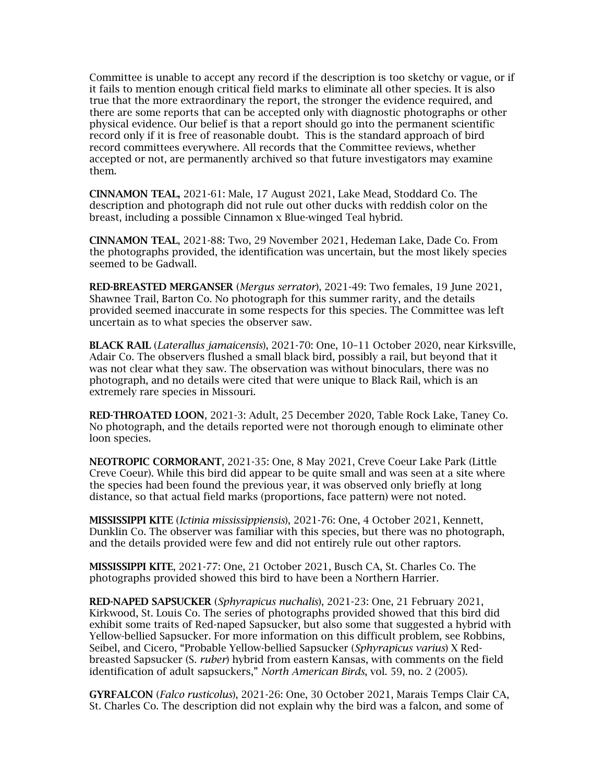Committee is unable to accept any record if the description is too sketchy or vague, or if it fails to mention enough critical field marks to eliminate all other species. It is also true that the more extraordinary the report, the stronger the evidence required, and there are some reports that can be accepted only with diagnostic photographs or other physical evidence. Our belief is that a report should go into the permanent scientific record only if it is free of reasonable doubt. This is the standard approach of bird record committees everywhere. All records that the Committee reviews, whether accepted or not, are permanently archived so that future investigators may examine them.

CINNAMON TEAL, 2021-61: Male, 17 August 2021, Lake Mead, Stoddard Co. The description and photograph did not rule out other ducks with reddish color on the breast, including a possible Cinnamon x Blue-winged Teal hybrid.

CINNAMON TEAL, 2021-88: Two, 29 November 2021, Hedeman Lake, Dade Co. From the photographs provided, the identification was uncertain, but the most likely species seemed to be Gadwall.

RED-BREASTED MERGANSER (*Mergus serrator*), 2021-49: Two females, 19 June 2021, Shawnee Trail, Barton Co. No photograph for this summer rarity, and the details provided seemed inaccurate in some respects for this species. The Committee was left uncertain as to what species the observer saw.

BLACK RAIL (*Laterallus jamaicensis*), 2021-70: One, 10–11 October 2020, near Kirksville, Adair Co. The observers flushed a small black bird, possibly a rail, but beyond that it was not clear what they saw. The observation was without binoculars, there was no photograph, and no details were cited that were unique to Black Rail, which is an extremely rare species in Missouri.

RED-THROATED LOON, 2021-3: Adult, 25 December 2020, Table Rock Lake, Taney Co. No photograph, and the details reported were not thorough enough to eliminate other loon species.

NEOTROPIC CORMORANT, 2021-35: One, 8 May 2021, Creve Coeur Lake Park (Little Creve Coeur). While this bird did appear to be quite small and was seen at a site where the species had been found the previous year, it was observed only briefly at long distance, so that actual field marks (proportions, face pattern) were not noted.

MISSISSIPPI KITE (*Ictinia mississippiensis*), 2021-76: One, 4 October 2021, Kennett, Dunklin Co. The observer was familiar with this species, but there was no photograph, and the details provided were few and did not entirely rule out other raptors.

MISSISSIPPI KITE, 2021-77: One, 21 October 2021, Busch CA, St. Charles Co. The photographs provided showed this bird to have been a Northern Harrier.

RED-NAPED SAPSUCKER (*Sphyrapicus nuchalis*), 2021-23: One, 21 February 2021, Kirkwood, St. Louis Co. The series of photographs provided showed that this bird did exhibit some traits of Red-naped Sapsucker, but also some that suggested a hybrid with Yellow-bellied Sapsucker. For more information on this difficult problem, see Robbins, Seibel, and Cicero, "Probable Yellow-bellied Sapsucker (*Sphyrapicus varius*) X Redbreasted Sapsucker (S*. ruber*) hybrid from eastern Kansas, with comments on the field identification of adult sapsuckers," *North American Birds*, vol. 59, no. 2 (2005).

GYRFALCON (*Falco rusticolus*), 2021-26: One, 30 October 2021, Marais Temps Clair CA, St. Charles Co. The description did not explain why the bird was a falcon, and some of